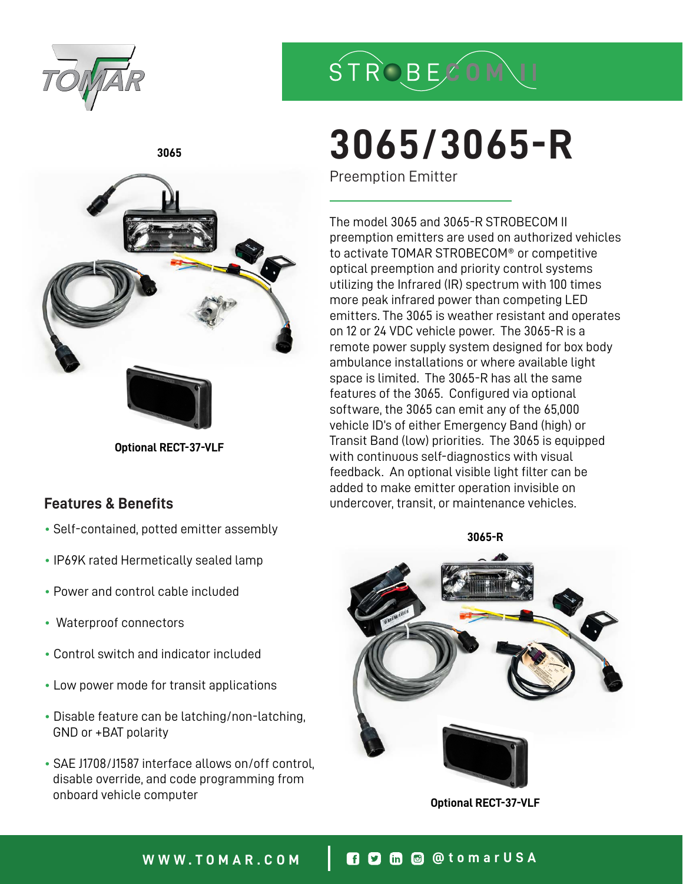



# **3065/3065-R**

Preemption Emitter

The model 3065 and 3065-R STROBECOM II preemption emitters are used on authorized vehicles to activate TOMAR STROBECOM® or competitive optical preemption and priority control systems utilizing the Infrared (IR) spectrum with 100 times more peak infrared power than competing LED emitters. The 3065 is weather resistant and operates on 12 or 24 VDC vehicle power. The 3065-R is a remote power supply system designed for box body ambulance installations or where available light space is limited. The 3065-R has all the same features of the 3065. Configured via optional software, the 3065 can emit any of the 65,000 vehicle ID's of either Emergency Band (high) or Transit Band (low) priorities. The 3065 is equipped with continuous self-diagnostics with visual feedback. An optional visible light filter can be added to make emitter operation invisible on undercover, transit, or maintenance vehicles.



**Optional RECT-37-VLF**



**Optional RECT-37-VLF**

## **Features & Benefits**

- **3065-R** Self-contained, potted emitter assembly
- IP69K rated Hermetically sealed lamp
- Power and control cable included
- Waterproof connectors
- Control switch and indicator included
- Low power mode for transit applications
- Disable feature can be latching/non-latching, GND or +BAT polarity
- SAE J1708/J1587 interface allows on/off control, disable override, and code programming from onboard vehicle computer

## **WWW.TOMAR.COM @tomarUSA**